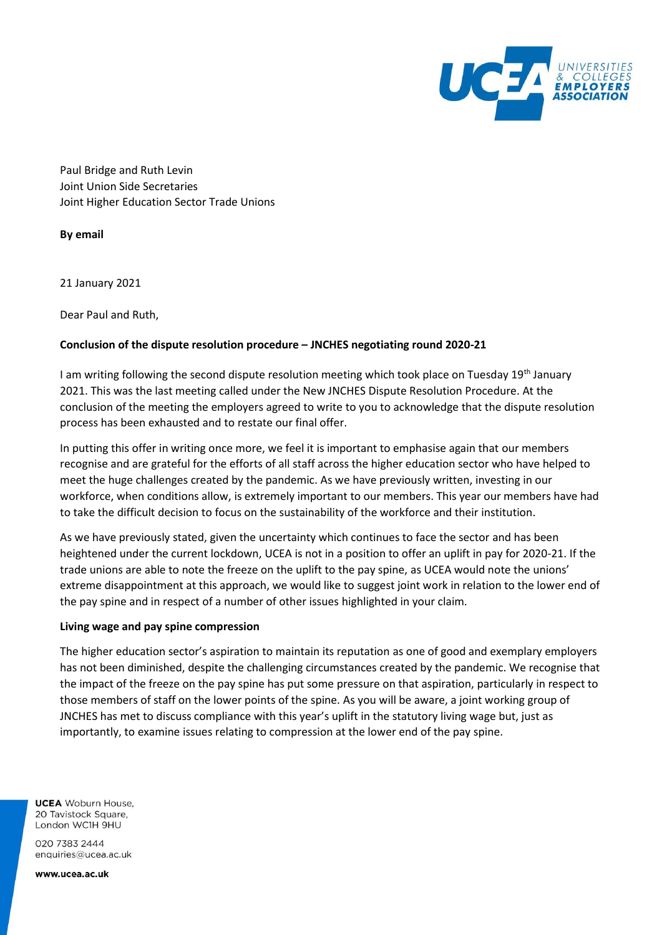

Paul Bridge and Ruth Levin Joint Union Side Secretaries Joint Higher Education Sector Trade Unions

**By email**

21 January 2021

Dear Paul and Ruth,

#### **Conclusion of the dispute resolution procedure – JNCHES negotiating round 2020-21**

I am writing following the second dispute resolution meeting which took place on Tuesday 19th January 2021. This was the last meeting called under the New JNCHES Dispute Resolution Procedure. At the conclusion of the meeting the employers agreed to write to you to acknowledge that the dispute resolution process has been exhausted and to restate our final offer.

In putting this offer in writing once more, we feel it is important to emphasise again that our members recognise and are grateful for the efforts of all staff across the higher education sector who have helped to meet the huge challenges created by the pandemic. As we have previously written, investing in our workforce, when conditions allow, is extremely important to our members. This year our members have had to take the difficult decision to focus on the sustainability of the workforce and their institution.

As we have previously stated, given the uncertainty which continues to face the sector and has been heightened under the current lockdown, UCEA is not in a position to offer an uplift in pay for 2020-21. If the trade unions are able to note the freeze on the uplift to the pay spine, as UCEA would note the unions' extreme disappointment at this approach, we would like to suggest joint work in relation to the lower end of the pay spine and in respect of a number of other issues highlighted in your claim.

#### **Living wage and pay spine compression**

The higher education sector's aspiration to maintain its reputation as one of good and exemplary employers has not been diminished, despite the challenging circumstances created by the pandemic. We recognise that the impact of the freeze on the pay spine has put some pressure on that aspiration, particularly in respect to those members of staff on the lower points of the spine. As you will be aware, a joint working group of JNCHES has met to discuss compliance with this year's uplift in the statutory living wage but, just as importantly, to examine issues relating to compression at the lower end of the pay spine.

**UCEA** Woburn House, 20 Tavistock Square. London WC1H 9HU

020 7383 2444 enquiries@ucea.ac.uk

www.ucea.ac.uk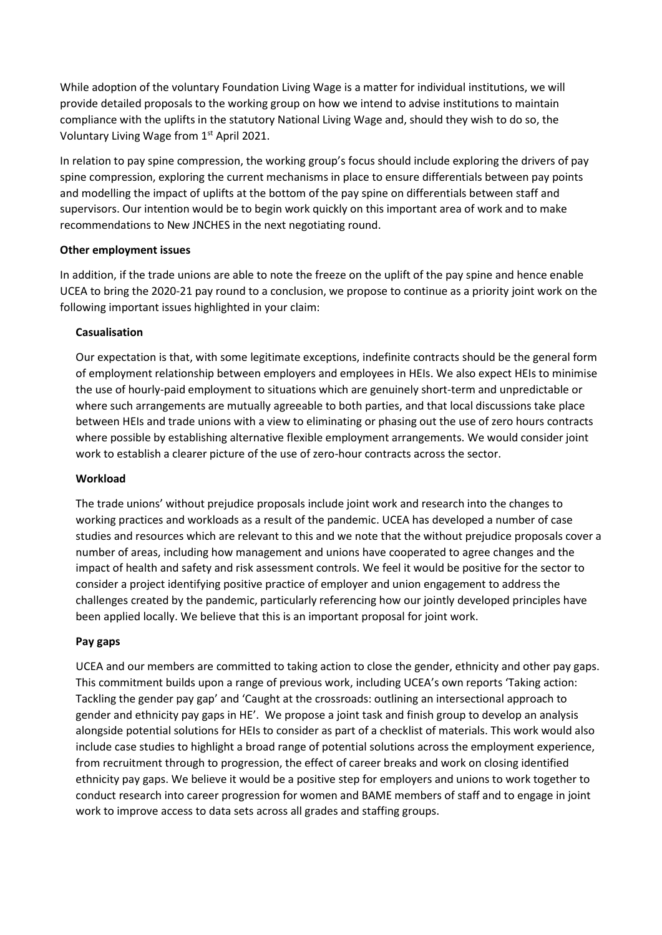While adoption of the voluntary Foundation Living Wage is a matter for individual institutions, we will provide detailed proposals to the working group on how we intend to advise institutions to maintain compliance with the uplifts in the statutory National Living Wage and, should they wish to do so, the Voluntary Living Wage from 1st April 2021.

In relation to pay spine compression, the working group's focus should include exploring the drivers of pay spine compression, exploring the current mechanisms in place to ensure differentials between pay points and modelling the impact of uplifts at the bottom of the pay spine on differentials between staff and supervisors. Our intention would be to begin work quickly on this important area of work and to make recommendations to New JNCHES in the next negotiating round.

# **Other employment issues**

In addition, if the trade unions are able to note the freeze on the uplift of the pay spine and hence enable UCEA to bring the 2020-21 pay round to a conclusion, we propose to continue as a priority joint work on the following important issues highlighted in your claim:

# **Casualisation**

Our expectation is that, with some legitimate exceptions, indefinite contracts should be the general form of employment relationship between employers and employees in HEIs. We also expect HEIs to minimise the use of hourly-paid employment to situations which are genuinely short-term and unpredictable or where such arrangements are mutually agreeable to both parties, and that local discussions take place between HEIs and trade unions with a view to eliminating or phasing out the use of zero hours contracts where possible by establishing alternative flexible employment arrangements. We would consider joint work to establish a clearer picture of the use of zero-hour contracts across the sector.

## **Workload**

The trade unions' without prejudice proposals include joint work and research into the changes to working practices and workloads as a result of the pandemic. UCEA has developed a number of case studies and resources which are relevant to this and we note that the without prejudice proposals cover a number of areas, including how management and unions have cooperated to agree changes and the impact of health and safety and risk assessment controls. We feel it would be positive for the sector to consider a project identifying positive practice of employer and union engagement to address the challenges created by the pandemic, particularly referencing how our jointly developed principles have been applied locally. We believe that this is an important proposal for joint work.

# **Pay gaps**

UCEA and our members are committed to taking action to close the gender, ethnicity and other pay gaps. This commitment builds upon a range of previous work, including UCEA's own reports 'Taking action: Tackling the gender pay gap' and 'Caught at the crossroads: outlining an intersectional approach to gender and ethnicity pay gaps in HE'. We propose a joint task and finish group to develop an analysis alongside potential solutions for HEIs to consider as part of a checklist of materials. This work would also include case studies to highlight a broad range of potential solutions across the employment experience, from recruitment through to progression, the effect of career breaks and work on closing identified ethnicity pay gaps. We believe it would be a positive step for employers and unions to work together to conduct research into career progression for women and BAME members of staff and to engage in joint work to improve access to data sets across all grades and staffing groups.